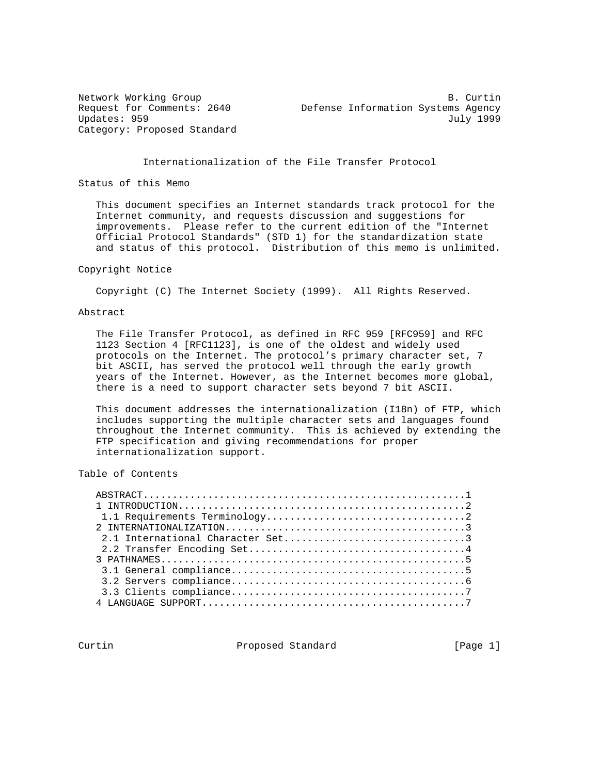Category: Proposed Standard

Network Working Group and the set of the set of the B. Curtin Request for Comments: 2640 Defense Information Systems Agency Updates: 959 July 1999

## Internationalization of the File Transfer Protocol

Status of this Memo

 This document specifies an Internet standards track protocol for the Internet community, and requests discussion and suggestions for improvements. Please refer to the current edition of the "Internet Official Protocol Standards" (STD 1) for the standardization state and status of this protocol. Distribution of this memo is unlimited.

#### Copyright Notice

Copyright (C) The Internet Society (1999). All Rights Reserved.

#### Abstract

 The File Transfer Protocol, as defined in RFC 959 [RFC959] and RFC 1123 Section 4 [RFC1123], is one of the oldest and widely used protocols on the Internet. The protocol's primary character set, 7 bit ASCII, has served the protocol well through the early growth years of the Internet. However, as the Internet becomes more global, there is a need to support character sets beyond 7 bit ASCII.

 This document addresses the internationalization (I18n) of FTP, which includes supporting the multiple character sets and languages found throughout the Internet community. This is achieved by extending the FTP specification and giving recommendations for proper internationalization support.

# Table of Contents

Curtin **Proposed Standard** [Page 1]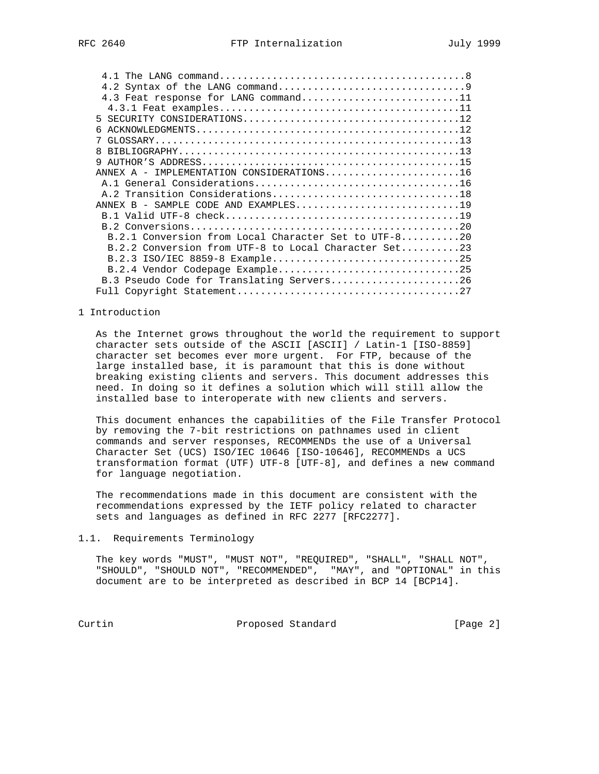| 4.3 Feat response for LANG command11                 |  |
|------------------------------------------------------|--|
|                                                      |  |
|                                                      |  |
| 6                                                    |  |
|                                                      |  |
| R                                                    |  |
|                                                      |  |
| ANNEX A - IMPLEMENTATION CONSIDERATIONS16            |  |
|                                                      |  |
| A.2 Transition Considerations18                      |  |
|                                                      |  |
|                                                      |  |
|                                                      |  |
| B.2.1 Conversion from Local Character Set to UTF-820 |  |
| B.2.2 Conversion from UTF-8 to Local Character Set23 |  |
| B.2.3 ISO/IEC 8859-8 Example25                       |  |
|                                                      |  |
| B.3 Pseudo Code for Translating Servers26            |  |
|                                                      |  |

#### 1 Introduction

 As the Internet grows throughout the world the requirement to support character sets outside of the ASCII [ASCII] / Latin-1 [ISO-8859] character set becomes ever more urgent. For FTP, because of the large installed base, it is paramount that this is done without breaking existing clients and servers. This document addresses this need. In doing so it defines a solution which will still allow the installed base to interoperate with new clients and servers.

 This document enhances the capabilities of the File Transfer Protocol by removing the 7-bit restrictions on pathnames used in client commands and server responses, RECOMMENDs the use of a Universal Character Set (UCS) ISO/IEC 10646 [ISO-10646], RECOMMENDs a UCS transformation format (UTF) UTF-8 [UTF-8], and defines a new command for language negotiation.

 The recommendations made in this document are consistent with the recommendations expressed by the IETF policy related to character sets and languages as defined in RFC 2277 [RFC2277].

1.1. Requirements Terminology

 The key words "MUST", "MUST NOT", "REQUIRED", "SHALL", "SHALL NOT", "SHOULD", "SHOULD NOT", "RECOMMENDED", "MAY", and "OPTIONAL" in this document are to be interpreted as described in BCP 14 [BCP14].

Curtin Proposed Standard [Page 2]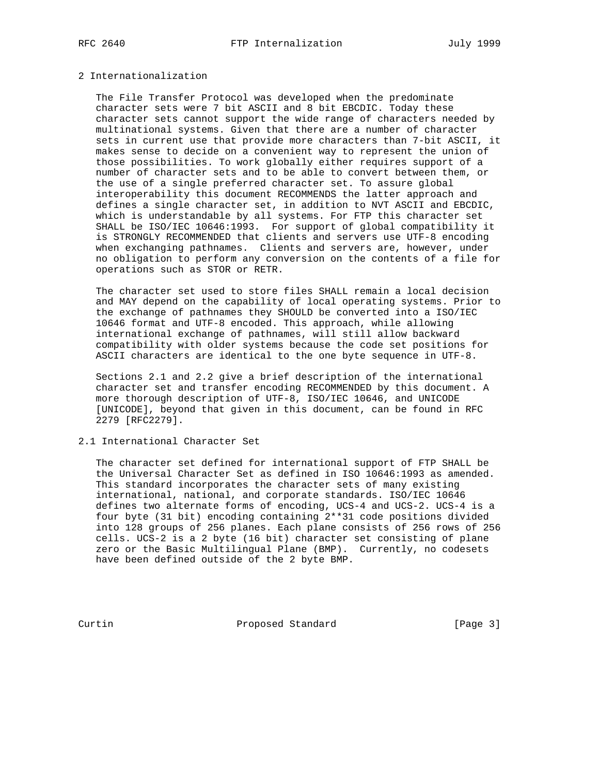# 2 Internationalization

 The File Transfer Protocol was developed when the predominate character sets were 7 bit ASCII and 8 bit EBCDIC. Today these character sets cannot support the wide range of characters needed by multinational systems. Given that there are a number of character sets in current use that provide more characters than 7-bit ASCII, it makes sense to decide on a convenient way to represent the union of those possibilities. To work globally either requires support of a number of character sets and to be able to convert between them, or the use of a single preferred character set. To assure global interoperability this document RECOMMENDS the latter approach and defines a single character set, in addition to NVT ASCII and EBCDIC, which is understandable by all systems. For FTP this character set SHALL be ISO/IEC 10646:1993. For support of global compatibility it is STRONGLY RECOMMENDED that clients and servers use UTF-8 encoding when exchanging pathnames. Clients and servers are, however, under no obligation to perform any conversion on the contents of a file for operations such as STOR or RETR.

 The character set used to store files SHALL remain a local decision and MAY depend on the capability of local operating systems. Prior to the exchange of pathnames they SHOULD be converted into a ISO/IEC 10646 format and UTF-8 encoded. This approach, while allowing international exchange of pathnames, will still allow backward compatibility with older systems because the code set positions for ASCII characters are identical to the one byte sequence in UTF-8.

 Sections 2.1 and 2.2 give a brief description of the international character set and transfer encoding RECOMMENDED by this document. A more thorough description of UTF-8, ISO/IEC 10646, and UNICODE [UNICODE], beyond that given in this document, can be found in RFC 2279 [RFC2279].

## 2.1 International Character Set

 The character set defined for international support of FTP SHALL be the Universal Character Set as defined in ISO 10646:1993 as amended. This standard incorporates the character sets of many existing international, national, and corporate standards. ISO/IEC 10646 defines two alternate forms of encoding, UCS-4 and UCS-2. UCS-4 is a four byte (31 bit) encoding containing 2\*\*31 code positions divided into 128 groups of 256 planes. Each plane consists of 256 rows of 256 cells. UCS-2 is a 2 byte (16 bit) character set consisting of plane zero or the Basic Multilingual Plane (BMP). Currently, no codesets have been defined outside of the 2 byte BMP.

Curtin **Proposed Standard** [Page 3]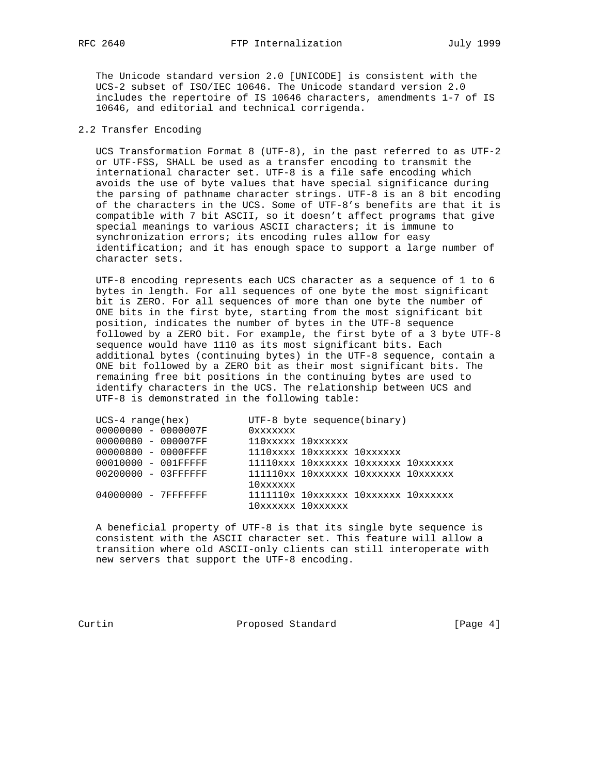The Unicode standard version 2.0 [UNICODE] is consistent with the UCS-2 subset of ISO/IEC 10646. The Unicode standard version 2.0 includes the repertoire of IS 10646 characters, amendments 1-7 of IS 10646, and editorial and technical corrigenda.

## 2.2 Transfer Encoding

 UCS Transformation Format 8 (UTF-8), in the past referred to as UTF-2 or UTF-FSS, SHALL be used as a transfer encoding to transmit the international character set. UTF-8 is a file safe encoding which avoids the use of byte values that have special significance during the parsing of pathname character strings. UTF-8 is an 8 bit encoding of the characters in the UCS. Some of UTF-8's benefits are that it is compatible with 7 bit ASCII, so it doesn't affect programs that give special meanings to various ASCII characters; it is immune to synchronization errors; its encoding rules allow for easy identification; and it has enough space to support a large number of character sets.

 UTF-8 encoding represents each UCS character as a sequence of 1 to 6 bytes in length. For all sequences of one byte the most significant bit is ZERO. For all sequences of more than one byte the number of ONE bits in the first byte, starting from the most significant bit position, indicates the number of bytes in the UTF-8 sequence followed by a ZERO bit. For example, the first byte of a 3 byte UTF-8 sequence would have 1110 as its most significant bits. Each additional bytes (continuing bytes) in the UTF-8 sequence, contain a ONE bit followed by a ZERO bit as their most significant bits. The remaining free bit positions in the continuing bytes are used to identify characters in the UCS. The relationship between UCS and UTF-8 is demonstrated in the following table:

| $UCS-4$ range(hex)   |  | $UTF-8$ byte sequence(binary) |                            |                                     |  |
|----------------------|--|-------------------------------|----------------------------|-------------------------------------|--|
| 00000000 - 0000007F  |  | Oxxxxxxx                      |                            |                                     |  |
| 00000080 - 000007FF  |  |                               | 110xxxxx 10xxxxxx          |                                     |  |
| 00000800 - 0000FFFF  |  |                               | 1110xxxx 10xxxxxx 10xxxxxx |                                     |  |
| 00010000 - 001FFFFF  |  |                               |                            | 11110xxx 10xxxxxx 10xxxxxx 10xxxxxx |  |
| 00200000 - 03FFFFFFF |  |                               |                            | 111110xx 10xxxxxx 10xxxxxx 10xxxxxx |  |
|                      |  | 10xxxxxx                      |                            |                                     |  |
| 04000000 - 7FFFFFFFF |  |                               |                            | 1111110x 10xxxxxx 10xxxxxx 10xxxxxx |  |
|                      |  |                               | 10xxxxxx 10xxxxxx          |                                     |  |
|                      |  |                               |                            |                                     |  |

 A beneficial property of UTF-8 is that its single byte sequence is consistent with the ASCII character set. This feature will allow a transition where old ASCII-only clients can still interoperate with new servers that support the UTF-8 encoding.

Curtin **Proposed Standard** Proposed Standard [Page 4]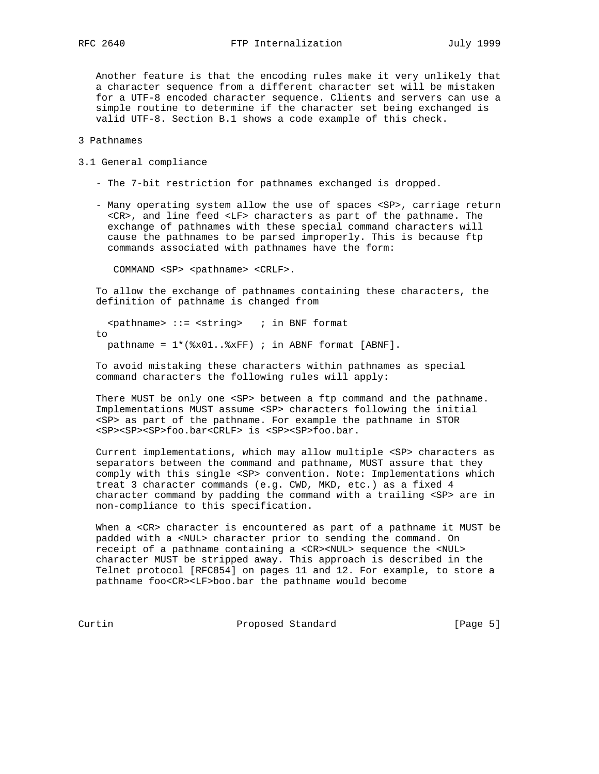Another feature is that the encoding rules make it very unlikely that a character sequence from a different character set will be mistaken for a UTF-8 encoded character sequence. Clients and servers can use a simple routine to determine if the character set being exchanged is valid UTF-8. Section B.1 shows a code example of this check.

3 Pathnames

- 3.1 General compliance
	- The 7-bit restriction for pathnames exchanged is dropped.
	- Many operating system allow the use of spaces <SP>, carriage return <CR>, and line feed <LF> characters as part of the pathname. The exchange of pathnames with these special command characters will cause the pathnames to be parsed improperly. This is because ftp commands associated with pathnames have the form:

COMMAND <SP> <pathname> <CRLF>.

 To allow the exchange of pathnames containing these characters, the definition of pathname is changed from

 $\epsilon$  <pathname> ::=  $\epsilon$ string> ; in BNF format to pathname =  $1*(8x01..8xFF)$  ; in ABNF format [ABNF].

 To avoid mistaking these characters within pathnames as special command characters the following rules will apply:

There MUST be only one <SP> between a ftp command and the pathname. Implementations MUST assume <SP> characters following the initial <SP> as part of the pathname. For example the pathname in STOR <SP><SP><SP>foo.bar<CRLF> is <SP><SP>foo.bar.

 Current implementations, which may allow multiple <SP> characters as separators between the command and pathname, MUST assure that they comply with this single <SP> convention. Note: Implementations which treat 3 character commands (e.g. CWD, MKD, etc.) as a fixed 4 character command by padding the command with a trailing <SP> are in non-compliance to this specification.

When a <CR> character is encountered as part of a pathname it MUST be padded with a <NUL> character prior to sending the command. On receipt of a pathname containing a <CR><NUL> sequence the <NUL> character MUST be stripped away. This approach is described in the Telnet protocol [RFC854] on pages 11 and 12. For example, to store a pathname foo<CR><LF>boo.bar the pathname would become

Curtin **Proposed Standard** [Page 5]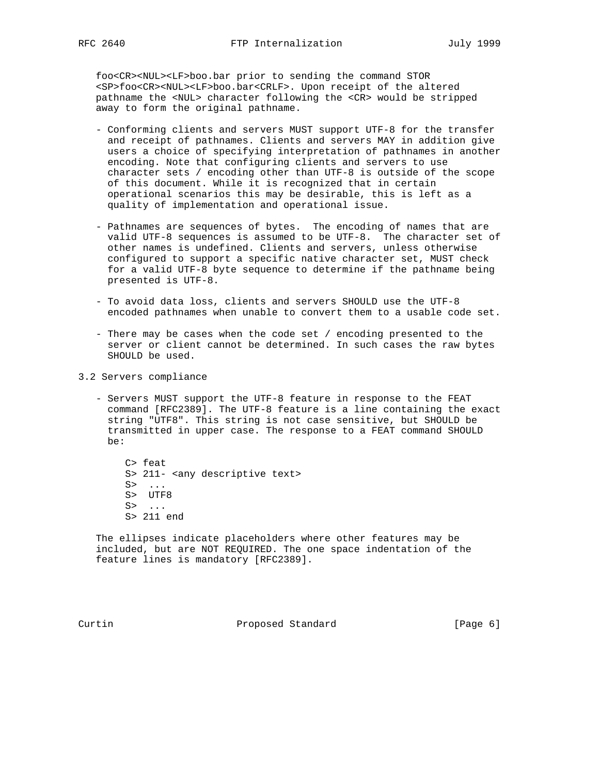foo<CR><NUL><LF>boo.bar prior to sending the command STOR <SP>foo<CR><NUL><LF>boo.bar<CRLF>. Upon receipt of the altered pathname the <NUL> character following the <CR> would be stripped away to form the original pathname.

- Conforming clients and servers MUST support UTF-8 for the transfer and receipt of pathnames. Clients and servers MAY in addition give users a choice of specifying interpretation of pathnames in another encoding. Note that configuring clients and servers to use character sets / encoding other than UTF-8 is outside of the scope of this document. While it is recognized that in certain operational scenarios this may be desirable, this is left as a quality of implementation and operational issue.
- Pathnames are sequences of bytes. The encoding of names that are valid UTF-8 sequences is assumed to be UTF-8. The character set of other names is undefined. Clients and servers, unless otherwise configured to support a specific native character set, MUST check for a valid UTF-8 byte sequence to determine if the pathname being presented is UTF-8.
- To avoid data loss, clients and servers SHOULD use the UTF-8 encoded pathnames when unable to convert them to a usable code set.
- There may be cases when the code set / encoding presented to the server or client cannot be determined. In such cases the raw bytes SHOULD be used.
- 3.2 Servers compliance
	- Servers MUST support the UTF-8 feature in response to the FEAT command [RFC2389]. The UTF-8 feature is a line containing the exact string "UTF8". This string is not case sensitive, but SHOULD be transmitted in upper case. The response to a FEAT command SHOULD be:

 C> feat S> 211- <any descriptive text>  $S$ > ... S> UTF8 S> ... S> 211 end

 The ellipses indicate placeholders where other features may be included, but are NOT REQUIRED. The one space indentation of the feature lines is mandatory [RFC2389].

Curtin **Proposed Standard** [Page 6]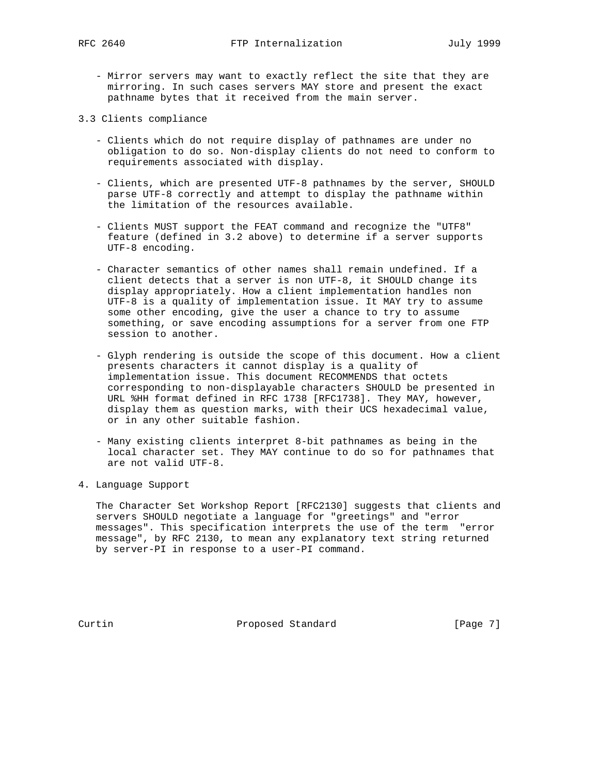- Mirror servers may want to exactly reflect the site that they are mirroring. In such cases servers MAY store and present the exact pathname bytes that it received from the main server.
- 3.3 Clients compliance
	- Clients which do not require display of pathnames are under no obligation to do so. Non-display clients do not need to conform to requirements associated with display.
	- Clients, which are presented UTF-8 pathnames by the server, SHOULD parse UTF-8 correctly and attempt to display the pathname within the limitation of the resources available.
	- Clients MUST support the FEAT command and recognize the "UTF8" feature (defined in 3.2 above) to determine if a server supports UTF-8 encoding.
	- Character semantics of other names shall remain undefined. If a client detects that a server is non UTF-8, it SHOULD change its display appropriately. How a client implementation handles non UTF-8 is a quality of implementation issue. It MAY try to assume some other encoding, give the user a chance to try to assume something, or save encoding assumptions for a server from one FTP session to another.
	- Glyph rendering is outside the scope of this document. How a client presents characters it cannot display is a quality of implementation issue. This document RECOMMENDS that octets corresponding to non-displayable characters SHOULD be presented in URL %HH format defined in RFC 1738 [RFC1738]. They MAY, however, display them as question marks, with their UCS hexadecimal value, or in any other suitable fashion.
	- Many existing clients interpret 8-bit pathnames as being in the local character set. They MAY continue to do so for pathnames that are not valid UTF-8.
- 4. Language Support

 The Character Set Workshop Report [RFC2130] suggests that clients and servers SHOULD negotiate a language for "greetings" and "error messages". This specification interprets the use of the term "error message", by RFC 2130, to mean any explanatory text string returned by server-PI in response to a user-PI command.

Curtin **Proposed Standard** [Page 7]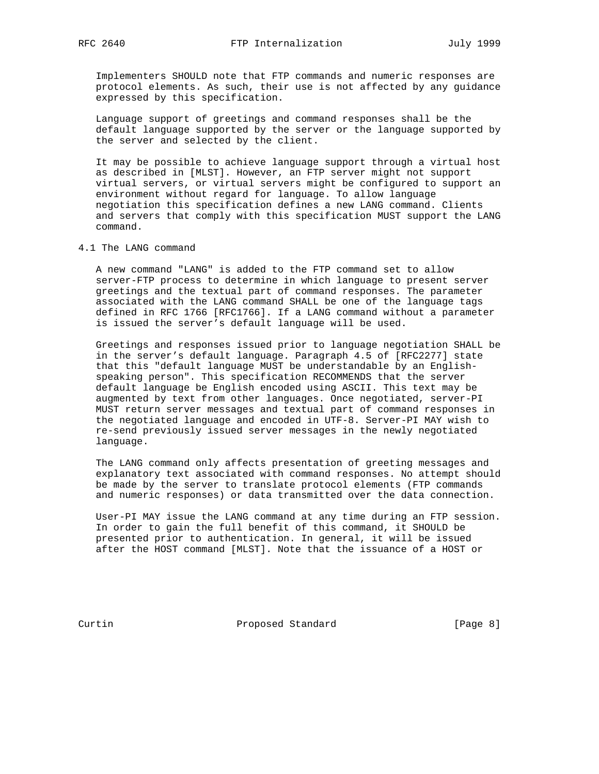Implementers SHOULD note that FTP commands and numeric responses are protocol elements. As such, their use is not affected by any guidance expressed by this specification.

 Language support of greetings and command responses shall be the default language supported by the server or the language supported by the server and selected by the client.

 It may be possible to achieve language support through a virtual host as described in [MLST]. However, an FTP server might not support virtual servers, or virtual servers might be configured to support an environment without regard for language. To allow language negotiation this specification defines a new LANG command. Clients and servers that comply with this specification MUST support the LANG command.

4.1 The LANG command

 A new command "LANG" is added to the FTP command set to allow server-FTP process to determine in which language to present server greetings and the textual part of command responses. The parameter associated with the LANG command SHALL be one of the language tags defined in RFC 1766 [RFC1766]. If a LANG command without a parameter is issued the server's default language will be used.

 Greetings and responses issued prior to language negotiation SHALL be in the server's default language. Paragraph 4.5 of [RFC2277] state that this "default language MUST be understandable by an English speaking person". This specification RECOMMENDS that the server default language be English encoded using ASCII. This text may be augmented by text from other languages. Once negotiated, server-PI MUST return server messages and textual part of command responses in the negotiated language and encoded in UTF-8. Server-PI MAY wish to re-send previously issued server messages in the newly negotiated language.

 The LANG command only affects presentation of greeting messages and explanatory text associated with command responses. No attempt should be made by the server to translate protocol elements (FTP commands and numeric responses) or data transmitted over the data connection.

 User-PI MAY issue the LANG command at any time during an FTP session. In order to gain the full benefit of this command, it SHOULD be presented prior to authentication. In general, it will be issued after the HOST command [MLST]. Note that the issuance of a HOST or

Curtin **Proposed Standard** [Page 8]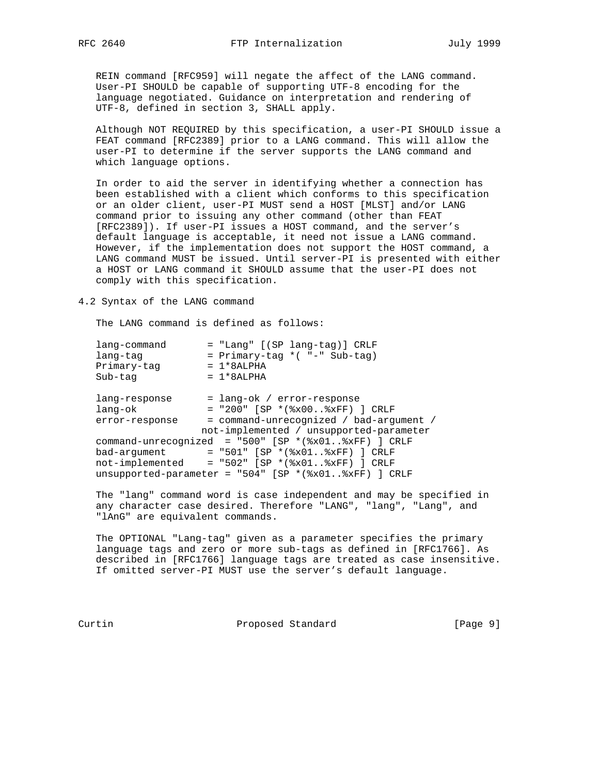REIN command [RFC959] will negate the affect of the LANG command. User-PI SHOULD be capable of supporting UTF-8 encoding for the language negotiated. Guidance on interpretation and rendering of UTF-8, defined in section 3, SHALL apply.

 Although NOT REQUIRED by this specification, a user-PI SHOULD issue a FEAT command [RFC2389] prior to a LANG command. This will allow the user-PI to determine if the server supports the LANG command and which language options.

 In order to aid the server in identifying whether a connection has been established with a client which conforms to this specification or an older client, user-PI MUST send a HOST [MLST] and/or LANG command prior to issuing any other command (other than FEAT [RFC2389]). If user-PI issues a HOST command, and the server's default language is acceptable, it need not issue a LANG command. However, if the implementation does not support the HOST command, a LANG command MUST be issued. Until server-PI is presented with either a HOST or LANG command it SHOULD assume that the user-PI does not comply with this specification.

4.2 Syntax of the LANG command

The LANG command is defined as follows:

| lang-command   | = "Lang" [(SP lang-tag)] CRLF                            |
|----------------|----------------------------------------------------------|
| lang-tag       | = Primary-tag *( "-" Sub-tag)                            |
| Primary-tag    | $= 1*8ALPHA$                                             |
| Sub-tag        | $= 1*8ALPHA$                                             |
|                |                                                          |
| lang-response  | = lang-ok / error-response                               |
| lang-ok        | $=$ "200" [SP *(%x00%xFF) ] CRLF                         |
| error-response | = command-unrecognized / bad-argument /                  |
|                | not-implemented / unsupported-parameter                  |
|                | command-unrecognized = "500" [SP $*(\&x01*\&xFF)$ ] CRLF |
| bad-argument   | = "501" [SP *(%x01%xFF) ] CRLF                           |
|                | $not-implemented = "502" [SP * ($x01$xFF) ] CRLF$        |
|                | unsupported-parameter = "504" [SP *(%x01%xFF) ] CRLF     |
|                |                                                          |

 The "lang" command word is case independent and may be specified in any character case desired. Therefore "LANG", "lang", "Lang", and "lAnG" are equivalent commands.

 The OPTIONAL "Lang-tag" given as a parameter specifies the primary language tags and zero or more sub-tags as defined in [RFC1766]. As described in [RFC1766] language tags are treated as case insensitive. If omitted server-PI MUST use the server's default language.

Curtin **Proposed Standard** [Page 9]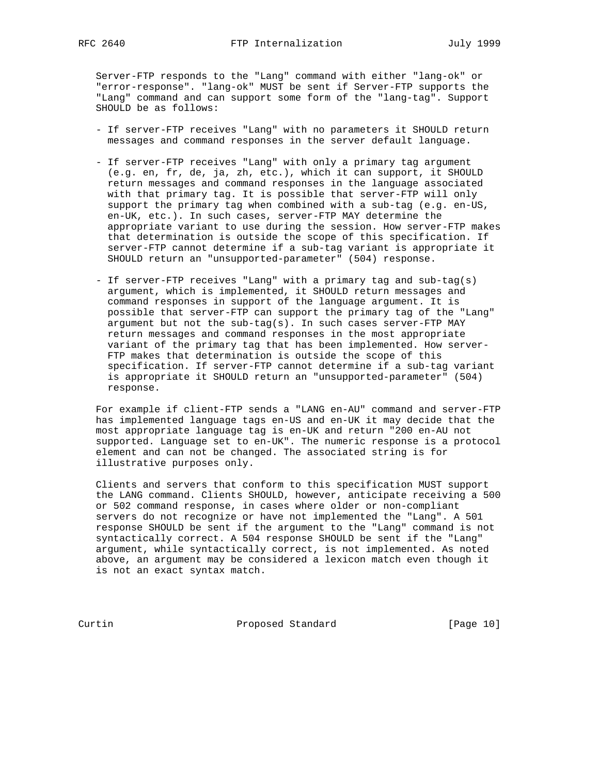Server-FTP responds to the "Lang" command with either "lang-ok" or "error-response". "lang-ok" MUST be sent if Server-FTP supports the "Lang" command and can support some form of the "lang-tag". Support SHOULD be as follows:

- If server-FTP receives "Lang" with no parameters it SHOULD return messages and command responses in the server default language.
- If server-FTP receives "Lang" with only a primary tag argument (e.g. en, fr, de, ja, zh, etc.), which it can support, it SHOULD return messages and command responses in the language associated with that primary tag. It is possible that server-FTP will only support the primary tag when combined with a sub-tag (e.g. en-US, en-UK, etc.). In such cases, server-FTP MAY determine the appropriate variant to use during the session. How server-FTP makes that determination is outside the scope of this specification. If server-FTP cannot determine if a sub-tag variant is appropriate it SHOULD return an "unsupported-parameter" (504) response.
- If server-FTP receives "Lang" with a primary tag and sub-tag(s) argument, which is implemented, it SHOULD return messages and command responses in support of the language argument. It is possible that server-FTP can support the primary tag of the "Lang" argument but not the sub-tag(s). In such cases server-FTP MAY return messages and command responses in the most appropriate variant of the primary tag that has been implemented. How server- FTP makes that determination is outside the scope of this specification. If server-FTP cannot determine if a sub-tag variant is appropriate it SHOULD return an "unsupported-parameter" (504) response.

 For example if client-FTP sends a "LANG en-AU" command and server-FTP has implemented language tags en-US and en-UK it may decide that the most appropriate language tag is en-UK and return "200 en-AU not supported. Language set to en-UK". The numeric response is a protocol element and can not be changed. The associated string is for illustrative purposes only.

 Clients and servers that conform to this specification MUST support the LANG command. Clients SHOULD, however, anticipate receiving a 500 or 502 command response, in cases where older or non-compliant servers do not recognize or have not implemented the "Lang". A 501 response SHOULD be sent if the argument to the "Lang" command is not syntactically correct. A 504 response SHOULD be sent if the "Lang" argument, while syntactically correct, is not implemented. As noted above, an argument may be considered a lexicon match even though it is not an exact syntax match.

Curtin Proposed Standard [Page 10]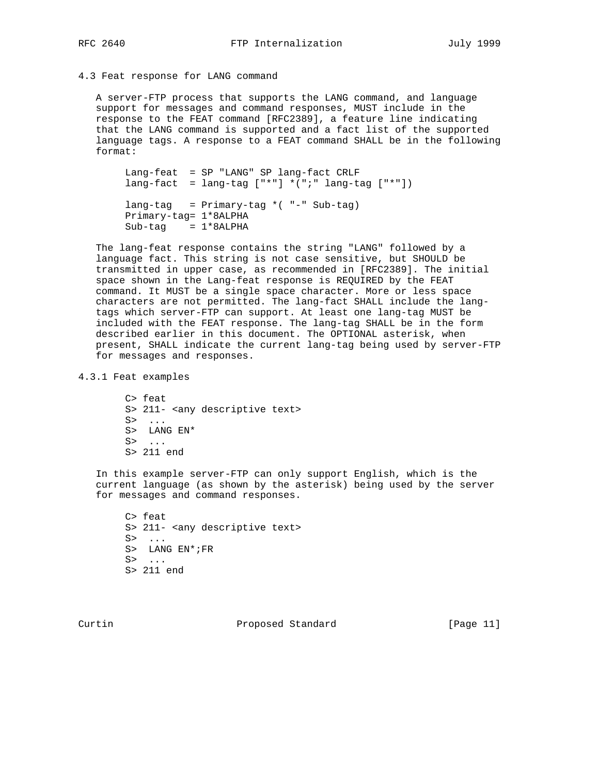#### 4.3 Feat response for LANG command

 A server-FTP process that supports the LANG command, and language support for messages and command responses, MUST include in the response to the FEAT command [RFC2389], a feature line indicating that the LANG command is supported and a fact list of the supported language tags. A response to a FEAT command SHALL be in the following format:

 Lang-feat = SP "LANG" SP lang-fact CRLF  $lang-fact = lang-tag ['**]' * (";" lang-tag ['**")$  lang-tag = Primary-tag \*( "-" Sub-tag) Primary-tag= 1\*8ALPHA  $Sub-tag = 1*8ALPHA$ 

 The lang-feat response contains the string "LANG" followed by a language fact. This string is not case sensitive, but SHOULD be transmitted in upper case, as recommended in [RFC2389]. The initial space shown in the Lang-feat response is REQUIRED by the FEAT command. It MUST be a single space character. More or less space characters are not permitted. The lang-fact SHALL include the lang tags which server-FTP can support. At least one lang-tag MUST be included with the FEAT response. The lang-tag SHALL be in the form described earlier in this document. The OPTIONAL asterisk, when present, SHALL indicate the current lang-tag being used by server-FTP for messages and responses.

4.3.1 Feat examples

 C> feat S> 211- <any descriptive text> S> ... S> LANG EN\* S> ... S> 211 end

 In this example server-FTP can only support English, which is the current language (as shown by the asterisk) being used by the server for messages and command responses.

 C> feat S> 211- <any descriptive text> S> ... S> LANG EN\*;FR  $S> \ldots$ S> 211 end

Curtin **Proposed Standard** [Page 11]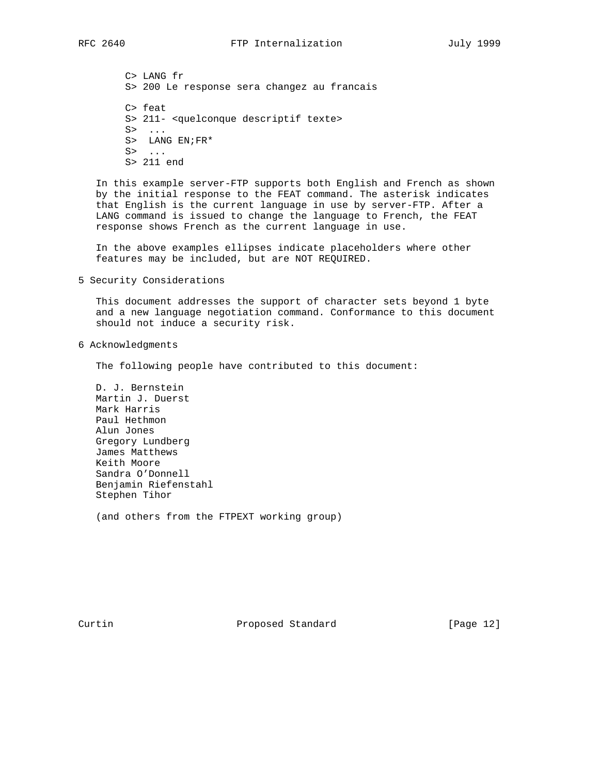C> LANG fr S> 200 Le response sera changez au francais C> feat S> 211- <quelconque descriptif texte> S> ... S> LANG  $EN$ ;  $FR*$  S> ... S> 211 end

 In this example server-FTP supports both English and French as shown by the initial response to the FEAT command. The asterisk indicates that English is the current language in use by server-FTP. After a LANG command is issued to change the language to French, the FEAT response shows French as the current language in use.

 In the above examples ellipses indicate placeholders where other features may be included, but are NOT REQUIRED.

5 Security Considerations

 This document addresses the support of character sets beyond 1 byte and a new language negotiation command. Conformance to this document should not induce a security risk.

6 Acknowledgments

The following people have contributed to this document:

 D. J. Bernstein Martin J. Duerst Mark Harris Paul Hethmon Alun Jones Gregory Lundberg James Matthews Keith Moore Sandra O'Donnell Benjamin Riefenstahl Stephen Tihor

(and others from the FTPEXT working group)

Curtin **Proposed Standard** [Page 12]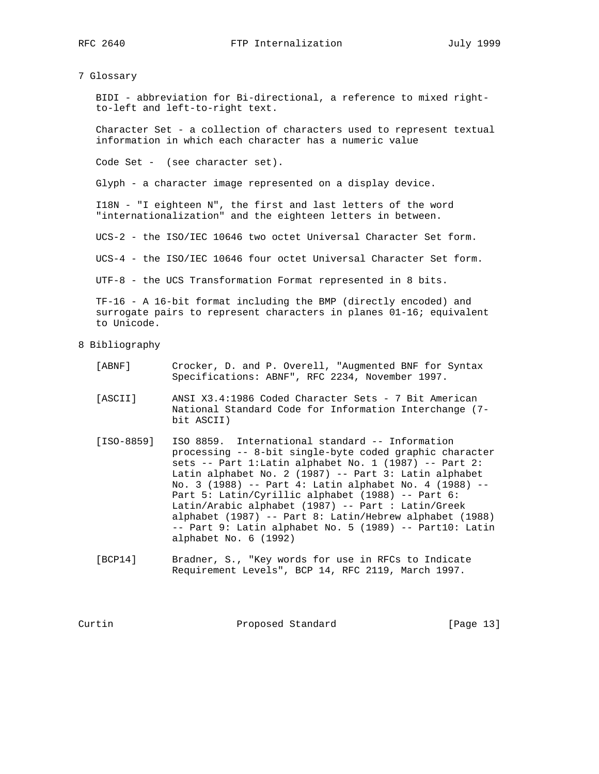7 Glossary

 BIDI - abbreviation for Bi-directional, a reference to mixed right to-left and left-to-right text.

 Character Set - a collection of characters used to represent textual information in which each character has a numeric value

Code Set - (see character set).

Glyph - a character image represented on a display device.

 I18N - "I eighteen N", the first and last letters of the word "internationalization" and the eighteen letters in between.

UCS-2 - the ISO/IEC 10646 two octet Universal Character Set form.

UCS-4 - the ISO/IEC 10646 four octet Universal Character Set form.

UTF-8 - the UCS Transformation Format represented in 8 bits.

 TF-16 - A 16-bit format including the BMP (directly encoded) and surrogate pairs to represent characters in planes 01-16; equivalent to Unicode.

8 Bibliography

- [ABNF] Crocker, D. and P. Overell, "Augmented BNF for Syntax Specifications: ABNF", RFC 2234, November 1997.
- [ASCII] ANSI X3.4:1986 Coded Character Sets 7 Bit American National Standard Code for Information Interchange (7 bit ASCII)
- [ISO-8859] ISO 8859. International standard -- Information processing -- 8-bit single-byte coded graphic character sets -- Part 1:Latin alphabet No. 1 (1987) -- Part 2: Latin alphabet No. 2 (1987) -- Part 3: Latin alphabet No. 3 (1988) -- Part 4: Latin alphabet No. 4 (1988) -- Part 5: Latin/Cyrillic alphabet (1988) -- Part 6: Latin/Arabic alphabet (1987) -- Part : Latin/Greek alphabet (1987) -- Part 8: Latin/Hebrew alphabet (1988) -- Part 9: Latin alphabet No. 5 (1989) -- Part10: Latin alphabet No. 6 (1992)
- [BCP14] Bradner, S., "Key words for use in RFCs to Indicate Requirement Levels", BCP 14, RFC 2119, March 1997.

Curtin **Proposed Standard** [Page 13]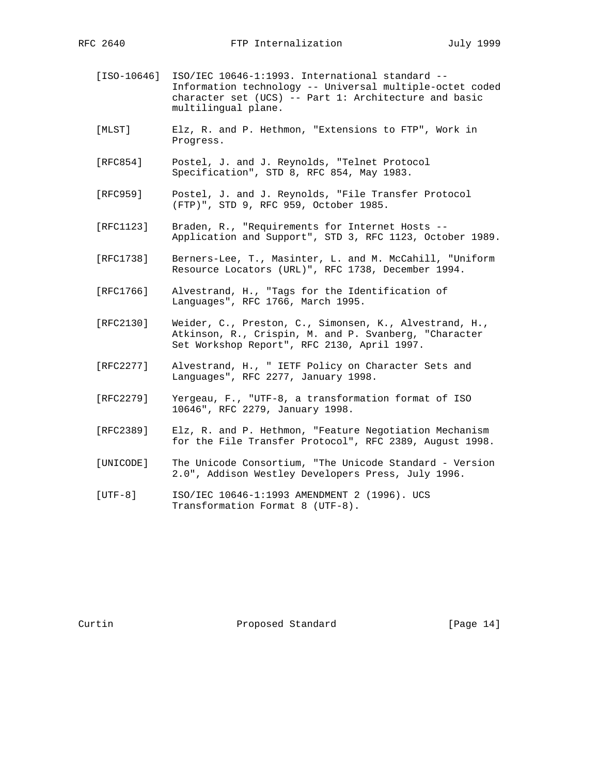- [ISO-10646] ISO/IEC 10646-1:1993. International standard -- Information technology -- Universal multiple-octet coded character set (UCS) -- Part 1: Architecture and basic multilingual plane.
- [MLST] Elz, R. and P. Hethmon, "Extensions to FTP", Work in Progress.
- [RFC854] Postel, J. and J. Reynolds, "Telnet Protocol Specification", STD 8, RFC 854, May 1983.
- [RFC959] Postel, J. and J. Reynolds, "File Transfer Protocol (FTP)", STD 9, RFC 959, October 1985.
- [RFC1123] Braden, R., "Requirements for Internet Hosts -- Application and Support", STD 3, RFC 1123, October 1989.
- [RFC1738] Berners-Lee, T., Masinter, L. and M. McCahill, "Uniform Resource Locators (URL)", RFC 1738, December 1994.
- [RFC1766] Alvestrand, H., "Tags for the Identification of Languages", RFC 1766, March 1995.
- [RFC2130] Weider, C., Preston, C., Simonsen, K., Alvestrand, H., Atkinson, R., Crispin, M. and P. Svanberg, "Character Set Workshop Report", RFC 2130, April 1997.
- [RFC2277] Alvestrand, H., " IETF Policy on Character Sets and Languages", RFC 2277, January 1998.
- [RFC2279] Yergeau, F., "UTF-8, a transformation format of ISO 10646", RFC 2279, January 1998.
- [RFC2389] Elz, R. and P. Hethmon, "Feature Negotiation Mechanism for the File Transfer Protocol", RFC 2389, August 1998.
- [UNICODE] The Unicode Consortium, "The Unicode Standard Version 2.0", Addison Westley Developers Press, July 1996.
- [UTF-8] ISO/IEC 10646-1:1993 AMENDMENT 2 (1996). UCS Transformation Format 8 (UTF-8).

Curtin **Proposed Standard** [Page 14]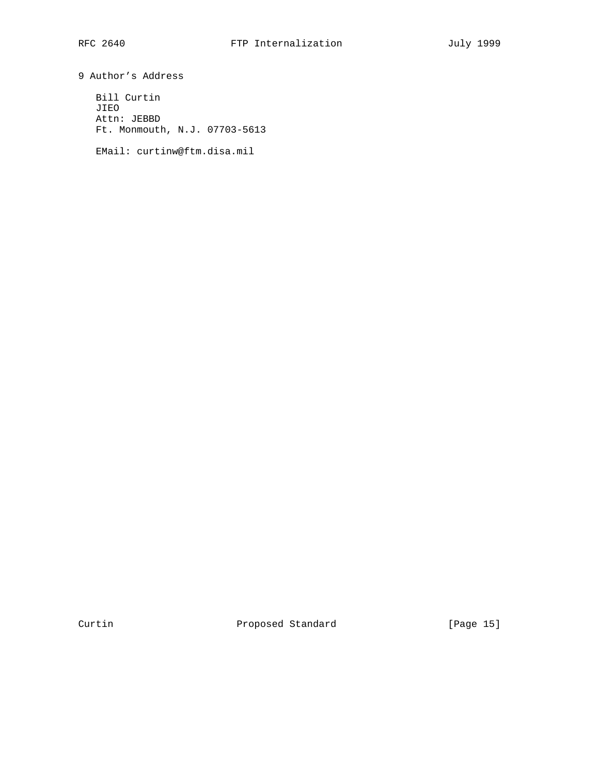9 Author's Address Bill Curtin

 JIEO Attn: JEBBD Ft. Monmouth, N.J. 07703-5613

EMail: curtinw@ftm.disa.mil

Curtin **Proposed Standard** [Page 15]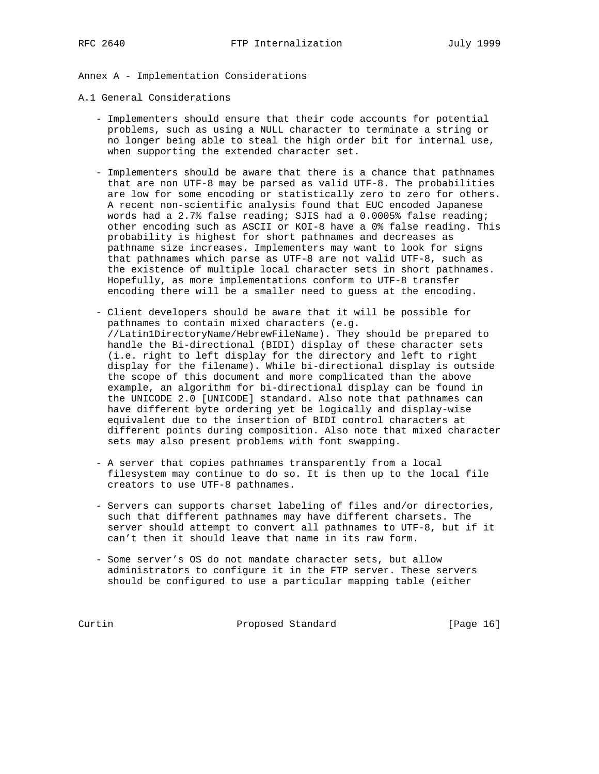Annex A - Implementation Considerations

A.1 General Considerations

- Implementers should ensure that their code accounts for potential problems, such as using a NULL character to terminate a string or no longer being able to steal the high order bit for internal use, when supporting the extended character set.
- Implementers should be aware that there is a chance that pathnames that are non UTF-8 may be parsed as valid UTF-8. The probabilities are low for some encoding or statistically zero to zero for others. A recent non-scientific analysis found that EUC encoded Japanese words had a 2.7% false reading; SJIS had a 0.0005% false reading; other encoding such as ASCII or KOI-8 have a 0% false reading. This probability is highest for short pathnames and decreases as pathname size increases. Implementers may want to look for signs that pathnames which parse as UTF-8 are not valid UTF-8, such as the existence of multiple local character sets in short pathnames. Hopefully, as more implementations conform to UTF-8 transfer encoding there will be a smaller need to guess at the encoding.
- Client developers should be aware that it will be possible for pathnames to contain mixed characters (e.g. //Latin1DirectoryName/HebrewFileName). They should be prepared to handle the Bi-directional (BIDI) display of these character sets (i.e. right to left display for the directory and left to right display for the filename). While bi-directional display is outside the scope of this document and more complicated than the above example, an algorithm for bi-directional display can be found in the UNICODE 2.0 [UNICODE] standard. Also note that pathnames can have different byte ordering yet be logically and display-wise equivalent due to the insertion of BIDI control characters at different points during composition. Also note that mixed character sets may also present problems with font swapping.
- A server that copies pathnames transparently from a local filesystem may continue to do so. It is then up to the local file creators to use UTF-8 pathnames.
- Servers can supports charset labeling of files and/or directories, such that different pathnames may have different charsets. The server should attempt to convert all pathnames to UTF-8, but if it can't then it should leave that name in its raw form.
- Some server's OS do not mandate character sets, but allow administrators to configure it in the FTP server. These servers should be configured to use a particular mapping table (either

Curtin Proposed Standard [Page 16]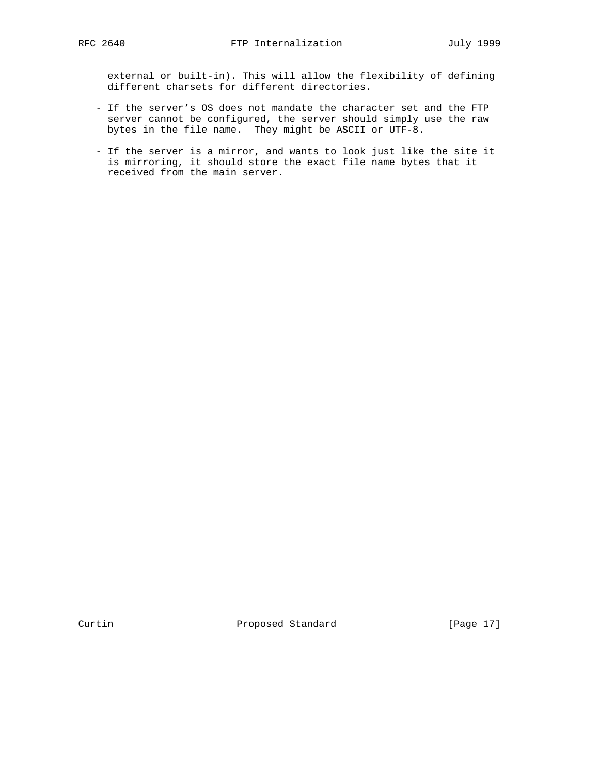external or built-in). This will allow the flexibility of defining different charsets for different directories.

- If the server's OS does not mandate the character set and the FTP server cannot be configured, the server should simply use the raw bytes in the file name. They might be ASCII or UTF-8.
- If the server is a mirror, and wants to look just like the site it is mirroring, it should store the exact file name bytes that it received from the main server.

Curtin **Proposed Standard** [Page 17]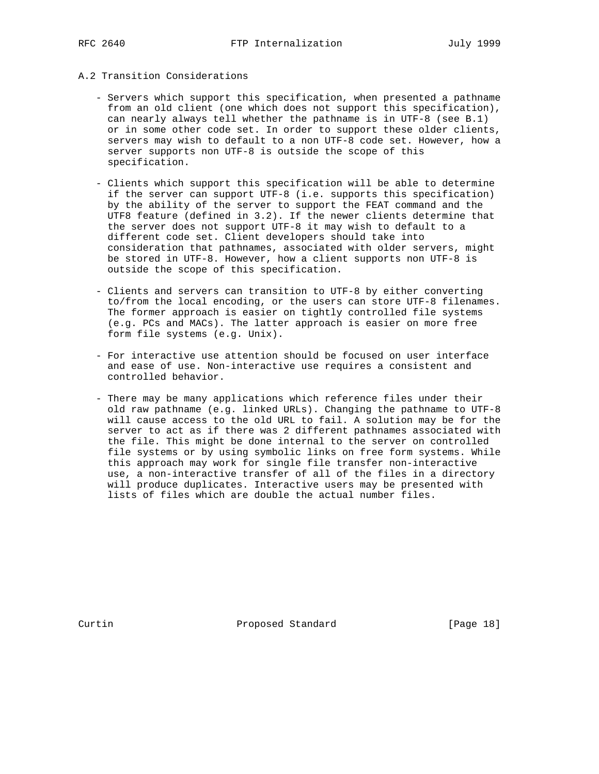# A.2 Transition Considerations

- Servers which support this specification, when presented a pathname from an old client (one which does not support this specification), can nearly always tell whether the pathname is in UTF-8 (see B.1) or in some other code set. In order to support these older clients, servers may wish to default to a non UTF-8 code set. However, how a server supports non UTF-8 is outside the scope of this specification.
- Clients which support this specification will be able to determine if the server can support UTF-8 (i.e. supports this specification) by the ability of the server to support the FEAT command and the UTF8 feature (defined in 3.2). If the newer clients determine that the server does not support UTF-8 it may wish to default to a different code set. Client developers should take into consideration that pathnames, associated with older servers, might be stored in UTF-8. However, how a client supports non UTF-8 is outside the scope of this specification.
- Clients and servers can transition to UTF-8 by either converting to/from the local encoding, or the users can store UTF-8 filenames. The former approach is easier on tightly controlled file systems (e.g. PCs and MACs). The latter approach is easier on more free form file systems (e.g. Unix).
- For interactive use attention should be focused on user interface and ease of use. Non-interactive use requires a consistent and controlled behavior.
- There may be many applications which reference files under their old raw pathname (e.g. linked URLs). Changing the pathname to UTF-8 will cause access to the old URL to fail. A solution may be for the server to act as if there was 2 different pathnames associated with the file. This might be done internal to the server on controlled file systems or by using symbolic links on free form systems. While this approach may work for single file transfer non-interactive use, a non-interactive transfer of all of the files in a directory will produce duplicates. Interactive users may be presented with lists of files which are double the actual number files.

Curtin **Proposed Standard** [Page 18]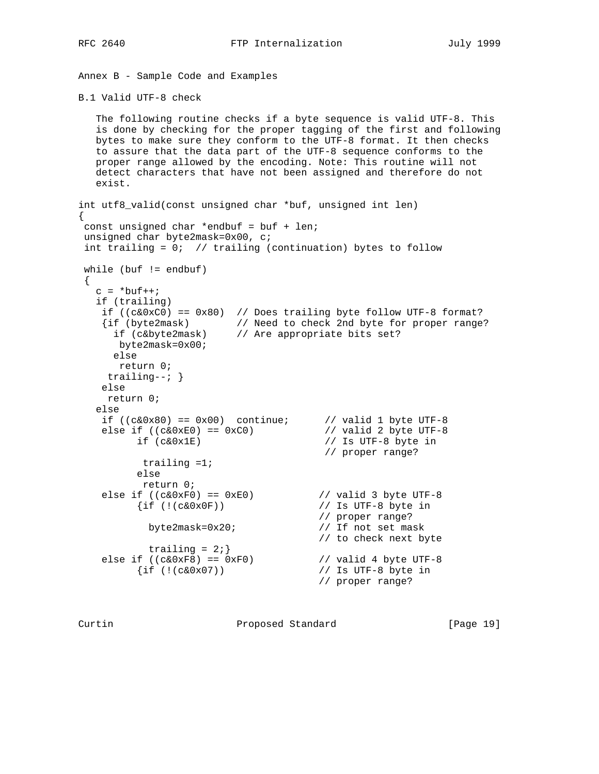Annex B - Sample Code and Examples

B.1 Valid UTF-8 check

```
 The following routine checks if a byte sequence is valid UTF-8. This
   is done by checking for the proper tagging of the first and following
   bytes to make sure they conform to the UTF-8 format. It then checks
   to assure that the data part of the UTF-8 sequence conforms to the
   proper range allowed by the encoding. Note: This routine will not
   detect characters that have not been assigned and therefore do not
   exist.
int utf8_valid(const unsigned char *buf, unsigned int len)
{
 const unsigned char *endbuf = buf + len;
 unsigned char byte2mask=0x00, c;
 int trailing = 0; // trailing (continuation) bytes to follow
 while (buf != endbuf)
 {
  c = *buf++; if (trailing)
if ((c&0xC0)) == 0x80) // Does trailing byte follow UTF-8 format?
 {if (byte2mask) // Need to check 2nd byte for proper range?
 if (c&byte2mask) // Are appropriate bits set?
 byte2mask=0x00;
     else
      return 0;
     trailing--; }
    else
    return 0;
   else
if ((c\&0x80) == 0x00) continue; // valid 1 byte UTF-8
else if ((c\&0\times E0)) == 0\times C0) // valid 2 byte UTF-8
 if (c&0x1E) // Is UTF-8 byte in
 // proper range?
          trailing =1;
         else
          return 0;
else if ((c\&0xF0) == 0xE0) // valid 3 byte UTF-8
 {if (!(c&0x0F)) // Is UTF-8 byte in
                                 // proper range?<br>// If not set mask
         byte2mask=0x20;
 // to check next byte
trailing = 2i}
else if ((c\&0xF8) == 0xF0) // valid 4 byte UTF-8
 {if (!(c&0x07)) // Is UTF-8 byte in
 // proper range?
```
Curtin **Proposed Standard** [Page 19]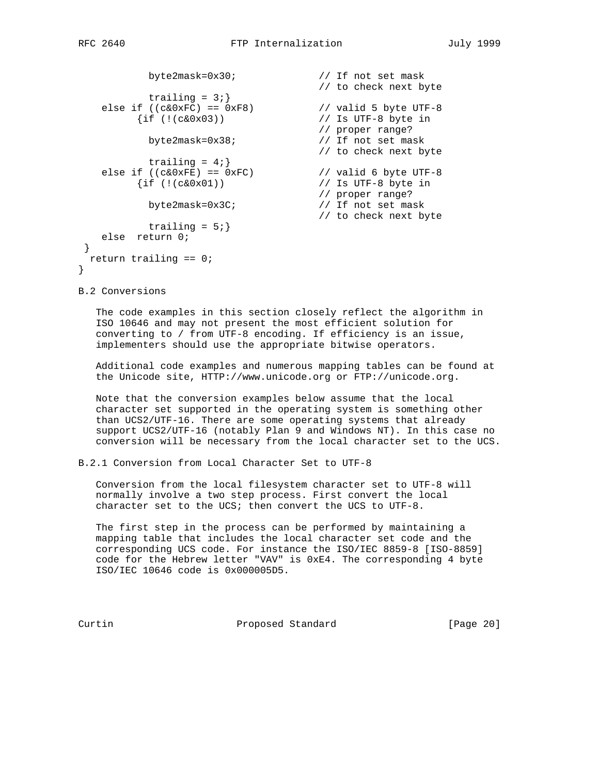```
byte2mask=0x30;<br>// If not set mask<br>// to check next byte
 // to check next byte
trailing = 3i}
else if ((c&0xFC) == 0xF8) // valid 5 byte UTF-8
 {if (!(c&0x03)) // Is UTF-8 byte in
 // proper range?
 byte2mask=0x38; // If not set mask
 // to check next byte
trailing = 4;}
else if ((c&0xFE) == 0xFC) // valid 6 byte UTF-8
 {if (!(c&0x01)) // Is UTF-8 byte in
 // proper range?
 byte2mask=0x3C; // If not set mask
 // to check next byte
       trailing = 5;}
  else return 0;
 return trailing == 0;
```
B.2 Conversions

}

}

 The code examples in this section closely reflect the algorithm in ISO 10646 and may not present the most efficient solution for converting to / from UTF-8 encoding. If efficiency is an issue, implementers should use the appropriate bitwise operators.

 Additional code examples and numerous mapping tables can be found at the Unicode site, HTTP://www.unicode.org or FTP://unicode.org.

 Note that the conversion examples below assume that the local character set supported in the operating system is something other than UCS2/UTF-16. There are some operating systems that already support UCS2/UTF-16 (notably Plan 9 and Windows NT). In this case no conversion will be necessary from the local character set to the UCS.

B.2.1 Conversion from Local Character Set to UTF-8

 Conversion from the local filesystem character set to UTF-8 will normally involve a two step process. First convert the local character set to the UCS; then convert the UCS to UTF-8.

 The first step in the process can be performed by maintaining a mapping table that includes the local character set code and the corresponding UCS code. For instance the ISO/IEC 8859-8 [ISO-8859] code for the Hebrew letter "VAV" is 0xE4. The corresponding 4 byte ISO/IEC 10646 code is 0x000005D5.

Curtin Proposed Standard [Page 20]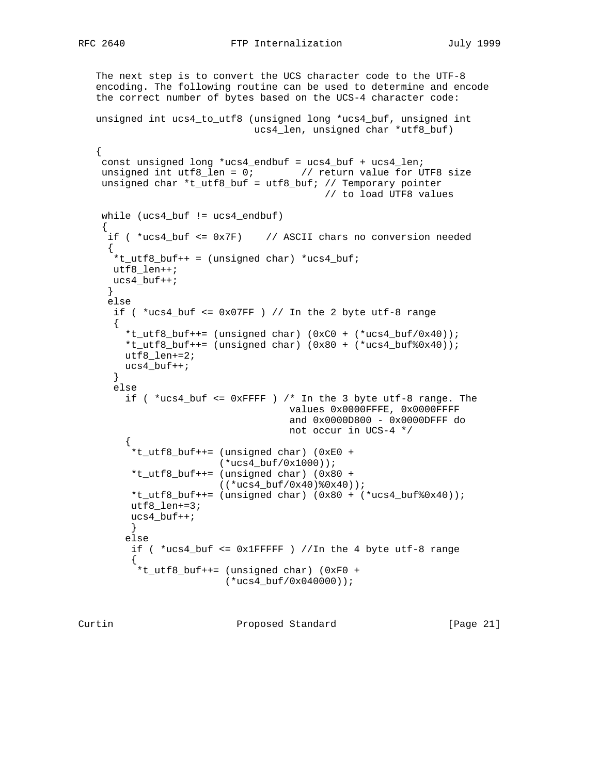```
 The next step is to convert the UCS character code to the UTF-8
 encoding. The following routine can be used to determine and encode
 the correct number of bytes based on the UCS-4 character code:
```

```
 unsigned int ucs4_to_utf8 (unsigned long *ucs4_buf, unsigned int
                            ucs4_len, unsigned char *utf8_buf)
```

```
 const unsigned long *ucs4_endbuf = ucs4_buf + ucs4_len;
   unsigned int utf8_len = 0; // return value for UTF8 size
    unsigned char *t_utf8_buf = utf8_buf; // Temporary pointer
                                           // to load UTF8 values
    while (ucs4_buf != ucs4_endbuf)
     {
    if ( *ucs4 buf \leq 0x7F) // ASCII chars no conversion needed
\{*t_Utt8_buf++ = (unsigned char) *ucs4_buf; utf8_len++;
      ucs4_buf++;
      }
     else
     if ( *ucs4_buf \leq 0x07FF ) // In the 2 byte utf-8 range
\{ *t_utf8_buf++= (unsigned char) (0xC0 + (*ucs4_buf/0x40));
        *t_utf8_buf++= (unsigned char) (0x80 + (*ucs4_b)uf%0x40));
        utf8_len+=2;
        ucs4_buf++;
       }
      else
        if ( *ucs4_buf <= 0xFFFF ) /* In the 3 byte utf-8 range. The
                                     values 0x0000FFFE, 0x0000FFFF
                                      and 0x0000D800 - 0x0000DFFF do
                                     not occur in UCS-4 */
\left\{ \begin{array}{c} \end{array} \right. *t_utf8_buf++= (unsigned char) (0xE0 +
                         (*ucs4_buf/0x1000));
          *t_utf8_buf++= (unsigned char) (0x80 +
                        ((*ucs4_buf/0x40)*0x40));*t_utf8_buf++= (unsigned char) (0x80 + (*ucs4_but*(0x40)); utf8_len+=3;
         ucs4_buf++;
         }
         else
         if ( *ucs4_buf \leq 0x1FFFFF ) //In the 4 byte utf-8 range
\{ *t_utf8_buf++= (unsigned char) (0xF0 +
                          (*ucs4_buf/0x040000));
```
Curtin Proposed Standard [Page 21]

{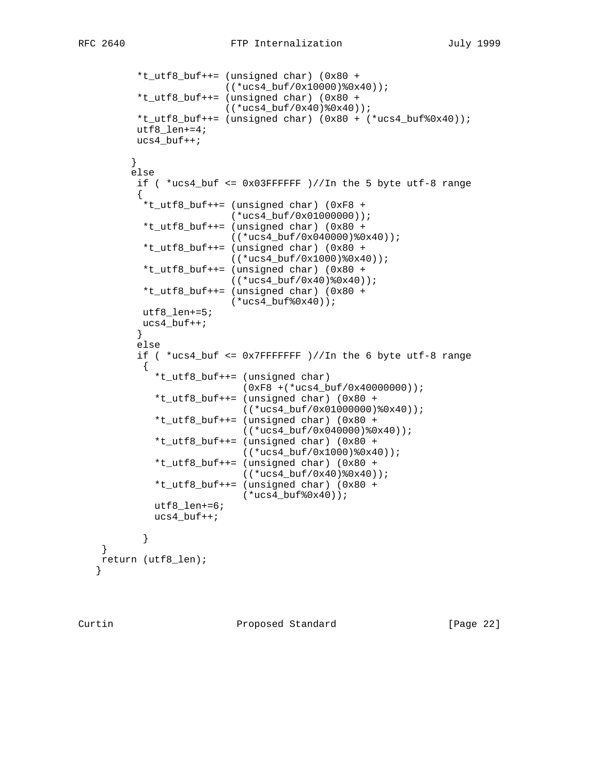```
 *t_utf8_buf++= (unsigned char) (0x80 +
                          ((*ucs4_buf/0x10000)%0x40));
          *t_utf8_buf++= (unsigned char) (0x80 +
                         ((*ucs4 buf/0x40)*(0x40));
          *t_utf8_buf++= (unsigned char) (0x80 + (*ucs4_buf%0x40));
          utf8_len+=4;
          ucs4_buf++;
 }
         else
          if ( *ucs4_buf <= 0x03FFFFFF )//In the 5 byte utf-8 range
\{ *t_utf8_buf++= (unsigned char) (0xF8 +
                           (*ucs4_buf/0x01000000));
           *t_utf8_buf++= (unsigned char) (0x80 +
                          ((*ucs4_buf/0x040000)%0x40));
           *t_utf8_buf++= (unsigned char) (0x80 +
                          ((*ucs4_buf/0x1000)%0x40));
           *t_utf8_buf++= (unsigned char) (0x80 +
                          ((*ucs4_buf/0x40)%0x40));
           *t_utf8_buf++= (unsigned char) (0x80 +
                          (*ucs4_buf%0x40));
           utf8_len+=5;
          ucs4_buf++; }
          else
          if ( *ucs4_buf <= 0x7FFFFFFF )//In the 6 byte utf-8 range
\{ *t_utf8_buf++= (unsigned char)
                            (0xF8 +(*ucs4_buf/0x40000000));
             *t_utf8_buf++= (unsigned char) (0x80 +
                            ((*ucs4_buf/0x01000000)%0x40));
             *t_utf8_buf++= (unsigned char) (0x80 +
                            ((*ucs4_buf/0x040000)%0x40));
              *t_utf8_buf++= (unsigned char) (0x80 +
                            ((*ucs4_buf/0x1000)%0x40));
             *t_utf8_buf++= (unsigned char) (0x80 +
                           ((*ucs4_but/0x40)*0x40)); *t_utf8_buf++= (unsigned char) (0x80 +
                            (*ucs4_buf%0x40));
             utf8_len+=6;
             ucs4_buf++;
 }
    return (utf8_len);
```
}

}

Curtin Proposed Standard [Page 22]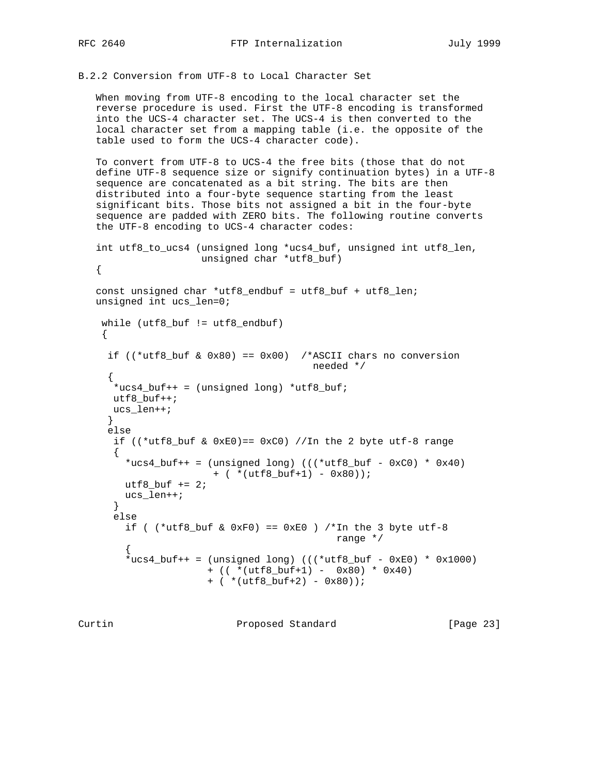B.2.2 Conversion from UTF-8 to Local Character Set

 When moving from UTF-8 encoding to the local character set the reverse procedure is used. First the UTF-8 encoding is transformed into the UCS-4 character set. The UCS-4 is then converted to the local character set from a mapping table (i.e. the opposite of the table used to form the UCS-4 character code).

 To convert from UTF-8 to UCS-4 the free bits (those that do not define UTF-8 sequence size or signify continuation bytes) in a UTF-8 sequence are concatenated as a bit string. The bits are then distributed into a four-byte sequence starting from the least significant bits. Those bits not assigned a bit in the four-byte sequence are padded with ZERO bits. The following routine converts the UTF-8 encoding to UCS-4 character codes:

 int utf8\_to\_ucs4 (unsigned long \*ucs4\_buf, unsigned int utf8\_len, unsigned char \*utf8\_buf)

```
 {
```

```
 const unsigned char *utf8_endbuf = utf8_buf + utf8_len;
 unsigned int ucs_len=0;
```

```
 while (utf8_buf != utf8_endbuf)
 {
```

```
if ((*utf8_buf & 0x80) == 0x00) /*ASCII chars no conversion
                                         needed */
\{*ucs4_buf++ = (unsigned long) *utf8_buf;
      utf8_buf++;
      ucs_len++;
     }
     else
      if ((*utf8\_but & 0xE0) == 0xC0) //In the 2 byte utf-8 range
      \left\{ \right.*ucs4_buf++ = (unsigned long) (((*utf8_buf - 0xC0) * 0x40)
                        + ( *(utf8_buf+1) - 0x80));
       utf8 buf += 2; ucs_len++;
       }
       else
       if ( (*utf8_buf & 0xF0) == 0xE0 ) /*In the 3 byte utf-8
                                             range */
\{*ucs4_buf++ = (unsigned long) (((*utf8_buf - 0xE0) * 0x1000)
```

```
 + (( *(utf8_buf+1) - 0x80) * 0x40)
+ (* (utf8_buf+2) - 0x80));
```
Curtin **Proposed Standard** [Page 23]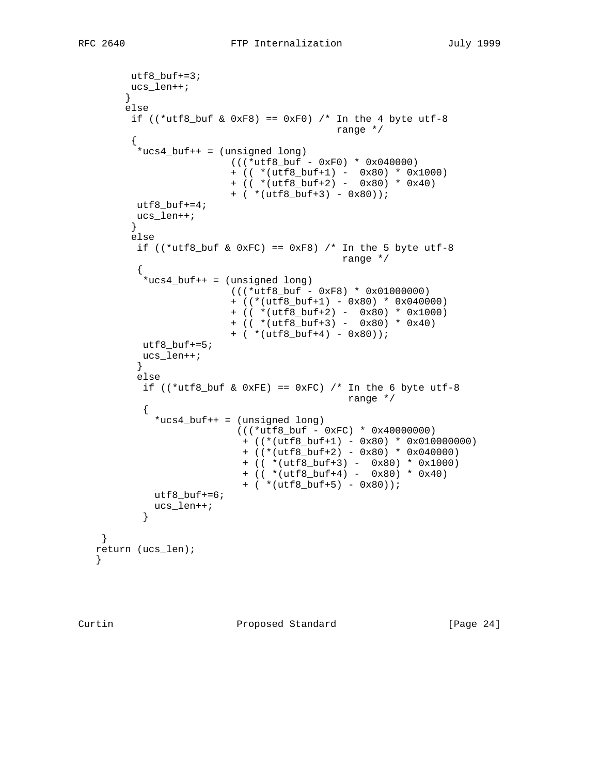```
utf8_buf+=3; ucs_len++;
        }
        else
       if ((*utf8_buf & 0xF8) == 0xF0) /* In the 4 byte utf-8
                                         range */
\{ *ucs4_buf++ = (unsigned long)
                        (((*utf8_buf - 0xF0) * 0x040000)
                        + (( *(utf8_buf+1) - 0x80) * 0x1000)
                        + (( *(utf8_buf+2) - 0x80) * 0x40)
                       + (* (utf8_buf+3) - 0x80));utf8_buf+=4;ucs_len++;<br>}
 }
         else
        if ((*utf8_buf & 0xFC) == 0xF8) /* In the 5 byte utf-8
                                         range */
\{ *ucs4_buf++ = (unsigned long)
                        (((*utf8_buf - 0xF8) * 0x01000000)
                        + ((*(utf8_buf+1) - 0x80) * 0x040000)
                        + (( *(utf8_buf+2) - 0x80) * 0x1000)
                        + (( *(utf8_buf+3) - 0x80) * 0x40)
                        + ( *(utf8_buf+4) - 0x80));
         utf8_buf+=5; ucs_len++;
 }
          else
         if ((*utf8_buf & 0xFE) == 0xFC) /* In the 6 byte utf-8
                                          range */
\{ *ucs4_buf++ = (unsigned long)
                          (((*utf8_buf - 0xFC) * 0x40000000)
                          + ((*(utf8_buf+1) - 0x80) * 0x010000000)
                          + ((*(utf8_buf+2) - 0x80) * 0x040000)
                          + (( *(utf8_buf+3) - 0x80) * 0x1000)
 + (( *(utf8_buf+4) - 0x80) * 0x40)
 + ( *(utf8_buf+5) - 0x80));
            utf8_buf+=6;
          ucs\_len++;}
 }
    }
   return (ucs_len);
   }
```
Curtin **Proposed Standard** [Page 24]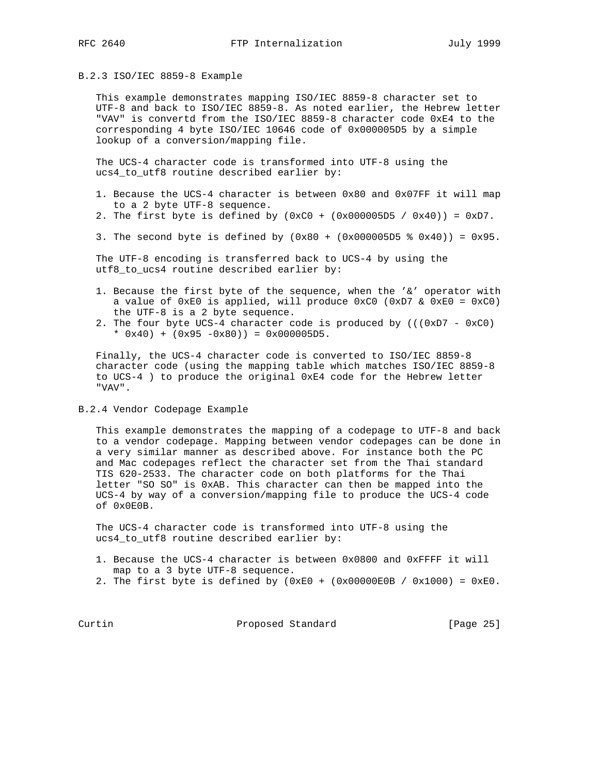## B.2.3 ISO/IEC 8859-8 Example

 This example demonstrates mapping ISO/IEC 8859-8 character set to UTF-8 and back to ISO/IEC 8859-8. As noted earlier, the Hebrew letter "VAV" is convertd from the ISO/IEC 8859-8 character code 0xE4 to the corresponding 4 byte ISO/IEC 10646 code of 0x000005D5 by a simple lookup of a conversion/mapping file.

 The UCS-4 character code is transformed into UTF-8 using the ucs4\_to\_utf8 routine described earlier by:

- 1. Because the UCS-4 character is between 0x80 and 0x07FF it will map to a 2 byte UTF-8 sequence.
- 2. The first byte is defined by  $(0 \times C0 + (0 \times 000005D5 / 0 \times 40)) = 0 \times D7$ .
- 3. The second byte is defined by  $(0x80 + (0x000005D5 * 0x40)) = 0x95$ .

 The UTF-8 encoding is transferred back to UCS-4 by using the utf8\_to\_ucs4 routine described earlier by:

- 1. Because the first byte of the sequence, when the '&' operator with a value of 0xE0 is applied, will produce 0xC0 (0xD7 & 0xE0 = 0xC0) the UTF-8 is a 2 byte sequence.
- 2. The four byte UCS-4 character code is produced by  $(((0xD7 0xC0)$ \*  $0x40$ ) +  $(0x95 -0x80)$ ) =  $0x000005D5$ .

 Finally, the UCS-4 character code is converted to ISO/IEC 8859-8 character code (using the mapping table which matches ISO/IEC 8859-8 to UCS-4 ) to produce the original 0xE4 code for the Hebrew letter "VAV".

B.2.4 Vendor Codepage Example

 This example demonstrates the mapping of a codepage to UTF-8 and back to a vendor codepage. Mapping between vendor codepages can be done in a very similar manner as described above. For instance both the PC and Mac codepages reflect the character set from the Thai standard TIS 620-2533. The character code on both platforms for the Thai letter "SO SO" is 0xAB. This character can then be mapped into the UCS-4 by way of a conversion/mapping file to produce the UCS-4 code of 0x0E0B.

 The UCS-4 character code is transformed into UTF-8 using the ucs4\_to\_utf8 routine described earlier by:

- 1. Because the UCS-4 character is between 0x0800 and 0xFFFF it will map to a 3 byte UTF-8 sequence.
- 2. The first byte is defined by  $(0 \times E0 + (0 \times 00000E0B / 0 \times 1000)) = 0 \times E0$ .

Curtin **Proposed Standard** [Page 25]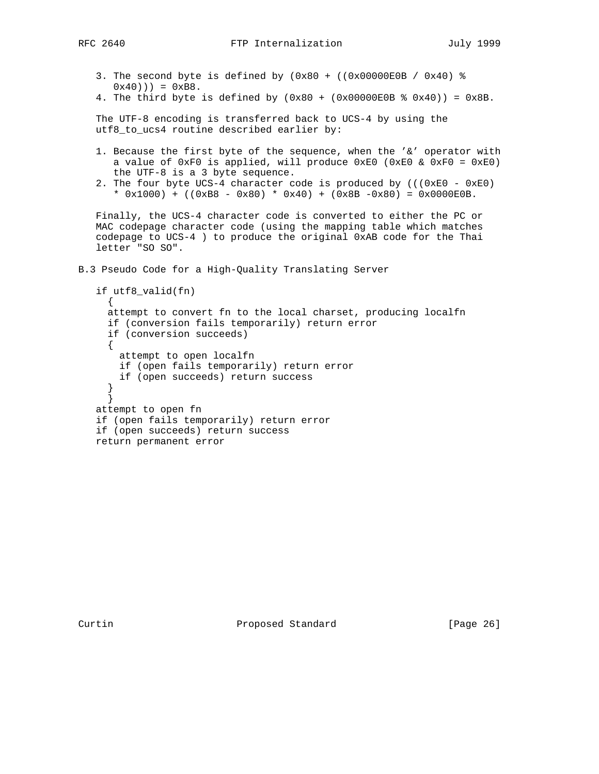```
3. The second byte is defined by (0x80 + ((0x00000E0B / 0x40) %
   0x40)) = 0xB8.
```
4. The third byte is defined by  $(0x80 + (0x00000E0B 8 0x40)) = 0x8B$ .

 The UTF-8 encoding is transferred back to UCS-4 by using the utf8\_to\_ucs4 routine described earlier by:

- 1. Because the first byte of the sequence, when the '&' operator with a value of  $0xF0$  is applied, will produce  $0xE0$  ( $0xE0$  &  $0xF0 = 0xE0$ ) the UTF-8 is a 3 byte sequence.
- 2. The four byte UCS-4 character code is produced by (((0xE0 0xE0) \*  $0x1000$  + (( $0xB8 - 0x80$ ) \*  $0x40$ ) + ( $0x8B - 0x80$ ) =  $0x0000E0B$ .

 Finally, the UCS-4 character code is converted to either the PC or MAC codepage character code (using the mapping table which matches codepage to UCS-4 ) to produce the original 0xAB code for the Thai letter "SO SO".

B.3 Pseudo Code for a High-Quality Translating Server

```
 if utf8_valid(fn)
     {
     attempt to convert fn to the local charset, producing localfn
     if (conversion fails temporarily) return error
     if (conversion succeeds)
\{ attempt to open localfn
       if (open fails temporarily) return error
       if (open succeeds) return success
 }
      }
   attempt to open fn
   if (open fails temporarily) return error
   if (open succeeds) return success
   return permanent error
```
Curtin Proposed Standard [Page 26]